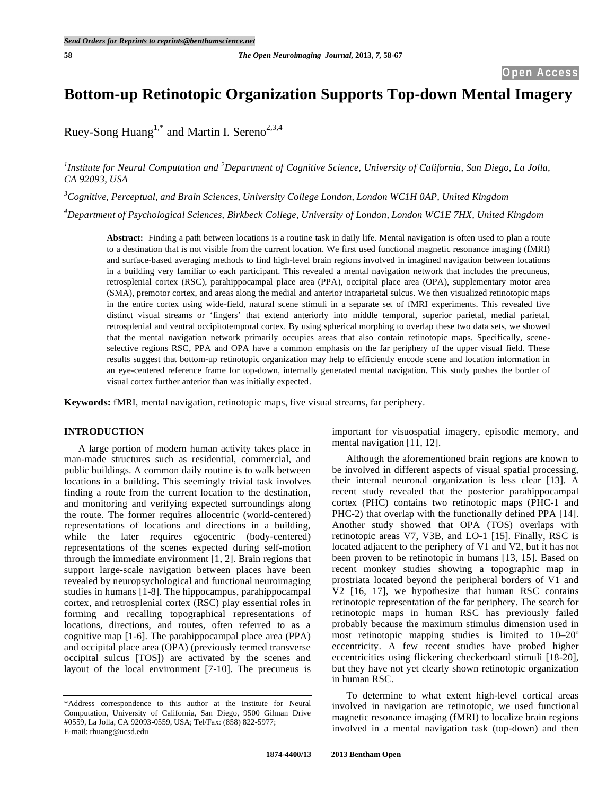# **Bottom-up Retinotopic Organization Supports Top-down Mental Imagery**

Ruey-Song Huang<sup>1,\*</sup> and Martin I. Sereno<sup>2,3,4</sup>

<sup>1</sup>Institute for Neural Computation and <sup>2</sup>Department of Cognitive Science, University of California, San Diego, La Jolla, *CA 92093, USA*

*3 Cognitive, Perceptual, and Brain Sciences, University College London, London WC1H 0AP, United Kingdom*

*4 Department of Psychological Sciences, Birkbeck College, University of London, London WC1E 7HX, United Kingdom*

**Abstract:** Finding a path between locations is a routine task in daily life. Mental navigation is often used to plan a route to a destination that is not visible from the current location. We first used functional magnetic resonance imaging (fMRI) and surface-based averaging methods to find high-level brain regions involved in imagined navigation between locations in a building very familiar to each participant. This revealed a mental navigation network that includes the precuneus, retrosplenial cortex (RSC), parahippocampal place area (PPA), occipital place area (OPA), supplementary motor area (SMA), premotor cortex, and areas along the medial and anterior intraparietal sulcus. We then visualized retinotopic maps in the entire cortex using wide-field, natural scene stimuli in a separate set of fMRI experiments. This revealed five distinct visual streams or 'fingers' that extend anteriorly into middle temporal, superior parietal, medial parietal, retrosplenial and ventral occipitotemporal cortex. By using spherical morphing to overlap these two data sets, we showed that the mental navigation network primarily occupies areas that also contain retinotopic maps. Specifically, sceneselective regions RSC, PPA and OPA have a common emphasis on the far periphery of the upper visual field. These results suggest that bottom-up retinotopic organization may help to efficiently encode scene and location information in an eye-centered reference frame for top-down, internally generated mental navigation. This study pushes the border of visual cortex further anterior than was initially expected.

**Keywords:** fMRI, mental navigation, retinotopic maps, five visual streams, far periphery.

# **INTRODUCTION**

A large portion of modern human activity takes place in man-made structures such as residential, commercial, and public buildings. A common daily routine is to walk between locations in a building. This seemingly trivial task involves finding a route from the current location to the destination, and monitoring and verifying expected surroundings along the route. The former requires allocentric (world-centered) representations of locations and directions in a building, while the later requires egocentric (body-centered) representations of the scenes expected during self-motion through the immediate environment [1, 2]. Brain regions that support large-scale navigation between places have been revealed by neuropsychological and functional neuroimaging studies in humans [1-8]. The hippocampus, parahippocampal cortex, and retrosplenial cortex (RSC) play essential roles in forming and recalling topographical representations of locations, directions, and routes, often referred to as a cognitive map [1-6]. The parahippocampal place area (PPA) and occipital place area (OPA) (previously termed transverse occipital sulcus [TOS]) are activated by the scenes and layout of the local environment [7-10]. The precuneus is

important for visuospatial imagery, episodic memory, and mental navigation [11, 12].

Although the aforementioned brain regions are known to be involved in different aspects of visual spatial processing, their internal neuronal organization is less clear [13]. A recent study revealed that the posterior parahippocampal cortex (PHC) contains two retinotopic maps (PHC-1 and PHC-2) that overlap with the functionally defined PPA [14]. Another study showed that OPA (TOS) overlaps with retinotopic areas V7, V3B, and LO-1 [15]. Finally, RSC is located adjacent to the periphery of V1 and V2, but it has not been proven to be retinotopic in humans [13, 15]. Based on recent monkey studies showing a topographic map in prostriata located beyond the peripheral borders of V1 and V2 [16, 17], we hypothesize that human RSC contains retinotopic representation of the far periphery. The search for retinotopic maps in human RSC has previously failed probably because the maximum stimulus dimension used in most retinotopic mapping studies is limited to 10–20º eccentricity. A few recent studies have probed higher eccentricities using flickering checkerboard stimuli [18-20], but they have not yet clearly shown retinotopic organization in human RSC.

To determine to what extent high-level cortical areas involved in navigation are retinotopic, we used functional magnetic resonance imaging (fMRI) to localize brain regions involved in a mental navigation task (top-down) and then

<sup>\*</sup>Address correspondence to this author at the Institute for Neural Computation, University of California, San Diego, 9500 Gilman Drive #0559, La Jolla, CA 92093-0559, USA; Tel/Fax: (858) 822-5977; E-mail: rhuang@ucsd.edu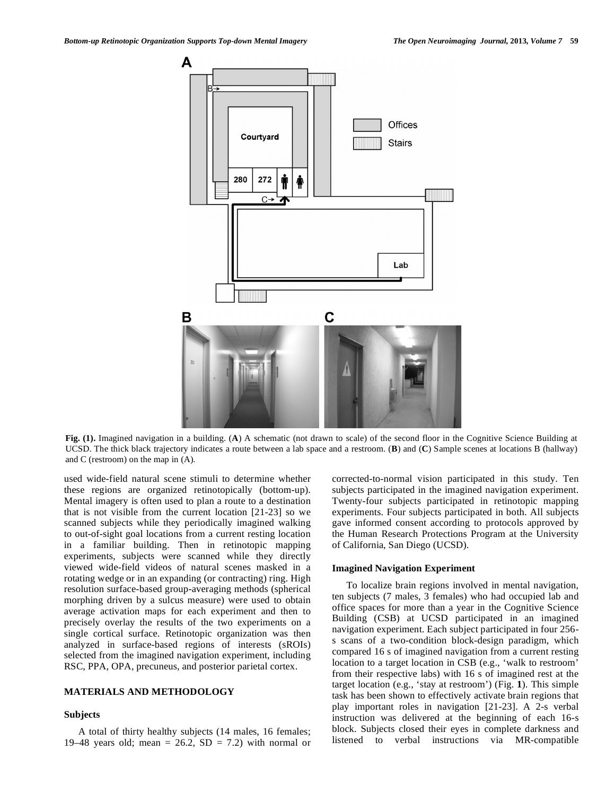

**Fig. (1).** Imagined navigation in a building. (**A**) A schematic (not drawn to scale) of the second floor in the Cognitive Science Building at UCSD. The thick black trajectory indicates a route between a lab space and a restroom. (**B**) and (**C**) Sample scenes at locations B (hallway) and C (restroom) on the map in (A).

used wide-field natural scene stimuli to determine whether these regions are organized retinotopically (bottom-up). Mental imagery is often used to plan a route to a destination that is not visible from the current location [21-23] so we scanned subjects while they periodically imagined walking to out-of-sight goal locations from a current resting location in a familiar building. Then in retinotopic mapping experiments, subjects were scanned while they directly viewed wide-field videos of natural scenes masked in a rotating wedge or in an expanding (or contracting) ring. High resolution surface-based group-averaging methods (spherical morphing driven by a sulcus measure) were used to obtain average activation maps for each experiment and then to precisely overlay the results of the two experiments on a single cortical surface. Retinotopic organization was then analyzed in surface-based regions of interests (sROIs) selected from the imagined navigation experiment, including RSC, PPA, OPA, precuneus, and posterior parietal cortex.

## **MATERIALS AND METHODOLOGY**

#### **Subjects**

A total of thirty healthy subjects (14 males, 16 females; 19–48 years old; mean =  $26.2$ , SD = 7.2) with normal or corrected-to-normal vision participated in this study. Ten subjects participated in the imagined navigation experiment. Twenty-four subjects participated in retinotopic mapping experiments. Four subjects participated in both. All subjects gave informed consent according to protocols approved by the Human Research Protections Program at the University of California, San Diego (UCSD).

## **Imagined Navigation Experiment**

To localize brain regions involved in mental navigation, ten subjects (7 males, 3 females) who had occupied lab and office spaces for more than a year in the Cognitive Science Building (CSB) at UCSD participated in an imagined navigation experiment. Each subject participated in four 256 s scans of a two-condition block-design paradigm, which compared 16 s of imagined navigation from a current resting location to a target location in CSB (e.g., 'walk to restroom' from their respective labs) with 16 s of imagined rest at the target location (e.g., 'stay at restroom') (Fig. **1**). This simple task has been shown to effectively activate brain regions that play important roles in navigation [21-23]. A 2-s verbal instruction was delivered at the beginning of each 16-s block. Subjects closed their eyes in complete darkness and listened to verbal instructions via MR-compatible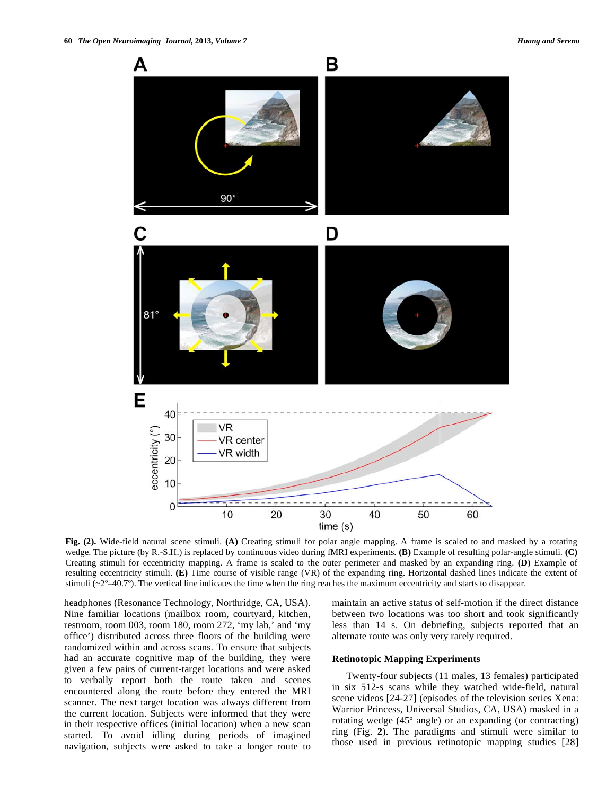

**Fig. (2).** Wide-field natural scene stimuli. **(A)** Creating stimuli for polar angle mapping. A frame is scaled to and masked by a rotating wedge. The picture (by R.-S.H.) is replaced by continuous video during fMRI experiments. **(B)** Example of resulting polar-angle stimuli. **(C)** Creating stimuli for eccentricity mapping. A frame is scaled to the outer perimeter and masked by an expanding ring. **(D)** Example of resulting eccentricity stimuli. **(E)** Time course of visible range (VR) of the expanding ring. Horizontal dashed lines indicate the extent of stimuli  $(-2^{\circ}-40.7^{\circ})$ . The vertical line indicates the time when the ring reaches the maximum eccentricity and starts to disappear.

headphones (Resonance Technology, Northridge, CA, USA). Nine familiar locations (mailbox room, courtyard, kitchen, restroom, room 003, room 180, room 272, 'my lab,' and 'my office') distributed across three floors of the building were randomized within and across scans. To ensure that subjects had an accurate cognitive map of the building, they were given a few pairs of current-target locations and were asked to verbally report both the route taken and scenes encountered along the route before they entered the MRI scanner. The next target location was always different from the current location. Subjects were informed that they were in their respective offices (initial location) when a new scan started. To avoid idling during periods of imagined navigation, subjects were asked to take a longer route to maintain an active status of self-motion if the direct distance between two locations was too short and took significantly less than 14 s. On debriefing, subjects reported that an alternate route was only very rarely required.

### **Retinotopic Mapping Experiments**

Twenty-four subjects (11 males, 13 females) participated in six 512-s scans while they watched wide-field, natural scene videos [24-27] (episodes of the television series Xena: Warrior Princess, Universal Studios, CA, USA) masked in a rotating wedge (45º angle) or an expanding (or contracting) ring (Fig. **2**). The paradigms and stimuli were similar to those used in previous retinotopic mapping studies [28]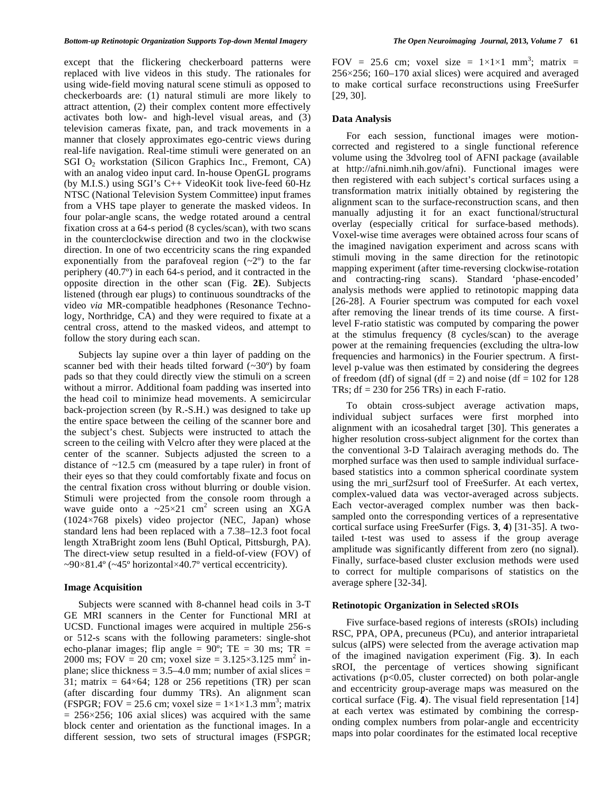except that the flickering checkerboard patterns were replaced with live videos in this study. The rationales for using wide-field moving natural scene stimuli as opposed to checkerboards are: (1) natural stimuli are more likely to attract attention, (2) their complex content more effectively activates both low- and high-level visual areas, and (3) television cameras fixate, pan, and track movements in a manner that closely approximates ego-centric views during real-life navigation. Real-time stimuli were generated on an SGI  $O<sub>2</sub>$  workstation (Silicon Graphics Inc., Fremont, CA) with an analog video input card. In-house OpenGL programs (by M.I.S.) using SGI's C++ VideoKit took live-feed 60-Hz NTSC (National Television System Committee) input frames from a VHS tape player to generate the masked videos. In four polar-angle scans, the wedge rotated around a central fixation cross at a 64-s period (8 cycles/scan), with two scans in the counterclockwise direction and two in the clockwise direction. In one of two eccentricity scans the ring expanded exponentially from the parafoveal region  $(-2)$  to the far periphery (40.7º) in each 64-s period, and it contracted in the opposite direction in the other scan (Fig. **2E**). Subjects listened (through ear plugs) to continuous soundtracks of the video *via* MR-compatible headphones (Resonance Technology, Northridge, CA) and they were required to fixate at a central cross, attend to the masked videos, and attempt to follow the story during each scan.

Subjects lay supine over a thin layer of padding on the scanner bed with their heads tilted forward (~30º) by foam pads so that they could directly view the stimuli on a screen without a mirror. Additional foam padding was inserted into the head coil to minimize head movements. A semicircular back-projection screen (by R.-S.H.) was designed to take up the entire space between the ceiling of the scanner bore and the subject's chest. Subjects were instructed to attach the screen to the ceiling with Velcro after they were placed at the center of the scanner. Subjects adjusted the screen to a distance of ~12.5 cm (measured by a tape ruler) in front of their eyes so that they could comfortably fixate and focus on the central fixation cross without blurring or double vision. Stimuli were projected from the console room through a wave guide onto a  $\approx 25 \times 21$  cm<sup>2</sup> screen using an XGA (1024×768 pixels) video projector (NEC, Japan) whose standard lens had been replaced with a 7.38–12.3 foot focal length XtraBright zoom lens (Buhl Optical, Pittsburgh, PA). The direct-view setup resulted in a field-of-view (FOV) of  $\sim 90 \times 81.4$ <sup>o</sup> ( $\sim 45$ <sup>o</sup> horizontal×40.7<sup>o</sup> vertical eccentricity).

#### **Image Acquisition**

Subjects were scanned with 8-channel head coils in 3-T GE MRI scanners in the Center for Functional MRI at UCSD. Functional images were acquired in multiple 256-s or 512-s scans with the following parameters: single-shot echo-planar images; flip angle =  $90^\circ$ ; TE = 30 ms; TR = 2000 ms; FOV = 20 cm; voxel size =  $3.125 \times 3.125$  mm<sup>2</sup> inplane; slice thickness  $= 3.5 - 4.0$  mm; number of axial slices  $=$ 31; matrix =  $64 \times 64$ ; 128 or 256 repetitions (TR) per scan (after discarding four dummy TRs). An alignment scan (FSPGR; FOV = 25.6 cm; voxel size =  $1 \times 1 \times 1.3$  mm<sup>3</sup>; matrix  $= 256 \times 256$ ; 106 axial slices) was acquired with the same block center and orientation as the functional images. In a different session, two sets of structural images (FSPGR;

FOV = 25.6 cm; voxel size =  $1 \times 1 \times 1$  mm<sup>3</sup>; matrix = 256×256; 160–170 axial slices) were acquired and averaged to make cortical surface reconstructions using FreeSurfer [29, 30].

### **Data Analysis**

For each session, functional images were motioncorrected and registered to a single functional reference volume using the 3dvolreg tool of AFNI package (available at http://afni.nimh.nih.gov/afni). Functional images were then registered with each subject's cortical surfaces using a transformation matrix initially obtained by registering the alignment scan to the surface-reconstruction scans, and then manually adjusting it for an exact functional/structural overlay (especially critical for surface-based methods). Voxel-wise time averages were obtained across four scans of the imagined navigation experiment and across scans with stimuli moving in the same direction for the retinotopic mapping experiment (after time-reversing clockwise-rotation and contracting-ring scans). Standard 'phase-encoded' analysis methods were applied to retinotopic mapping data [26-28]. A Fourier spectrum was computed for each voxel after removing the linear trends of its time course. A firstlevel F-ratio statistic was computed by comparing the power at the stimulus frequency (8 cycles/scan) to the average power at the remaining frequencies (excluding the ultra-low frequencies and harmonics) in the Fourier spectrum. A firstlevel p-value was then estimated by considering the degrees of freedom (df) of signal (df = 2) and noise (df =  $102$  for 128 TRs;  $df = 230$  for 256 TRs) in each F-ratio.

To obtain cross-subject average activation maps, individual subject surfaces were first morphed into alignment with an icosahedral target [30]. This generates a higher resolution cross-subject alignment for the cortex than the conventional 3-D Talairach averaging methods do. The morphed surface was then used to sample individual surfacebased statistics into a common spherical coordinate system using the mri surf2surf tool of FreeSurfer. At each vertex, complex-valued data was vector-averaged across subjects. Each vector-averaged complex number was then backsampled onto the corresponding vertices of a representative cortical surface using FreeSurfer (Figs. **3**, **4**) [31-35]. A twotailed t-test was used to assess if the group average amplitude was significantly different from zero (no signal). Finally, surface-based cluster exclusion methods were used to correct for multiple comparisons of statistics on the average sphere [32-34].

## **Retinotopic Organization in Selected sROIs**

Five surface-based regions of interests (sROIs) including RSC, PPA, OPA, precuneus (PCu), and anterior intraparietal sulcus (aIPS) were selected from the average activation map of the imagined navigation experiment (Fig. **3**). In each sROI, the percentage of vertices showing significant activations (p<0.05, cluster corrected) on both polar-angle and eccentricity group-average maps was measured on the cortical surface (Fig. **4**). The visual field representation [14] at each vertex was estimated by combining the corresponding complex numbers from polar-angle and eccentricity maps into polar coordinates for the estimated local receptive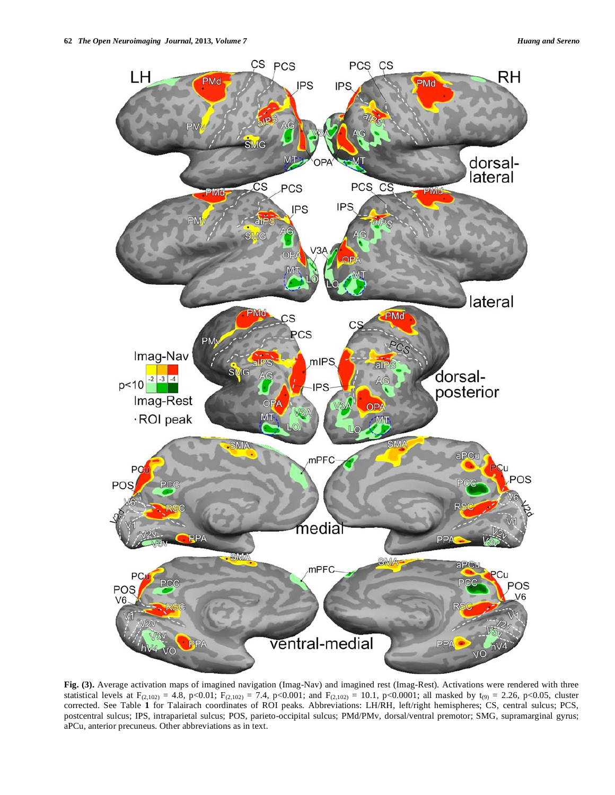

**Fig. (3).** Average activation maps of imagined navigation (Imag-Nav) and imagined rest (Imag-Rest). Activations were rendered with three statistical levels at  $F_{(2,102)} = 4.8$ , p<0.01;  $F_{(2,102)} = 7.4$ , p<0.001; and  $F_{(2,102)} = 10.1$ , p<0.0001; all masked by t<sub>(9)</sub> = 2.26, p<0.05, cluster corrected. See Table **1** for Talairach coordinates of ROI peaks. Abbreviations: LH/RH, left/right hemispheres; CS, central sulcus; PCS, postcentral sulcus; IPS, intraparietal sulcus; POS, parieto-occipital sulcus; PMd/PMv, dorsal/ventral premotor; SMG, supramarginal gyrus; aPCu, anterior precuneus. Other abbreviations as in text.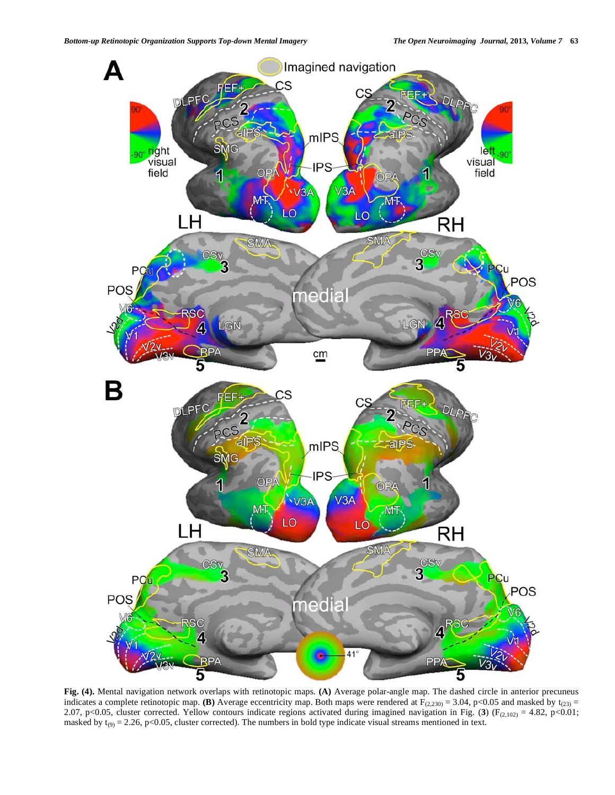

**Fig. (4).** Mental navigation network overlaps with retinotopic maps. **(A)** Average polar-angle map. The dashed circle in anterior precuneus indicates a complete retinotopic map. **(B)** Average eccentricity map. Both maps were rendered at  $F_{(2,230)} = 3.04$ , p<0.05 and masked by t<sub>(23)</sub> = 2.07, p<0.05, cluster corrected. Yellow contours indicate regions activated during imagined navigation in Fig. (3) (F<sub>(2,102)</sub> = 4.82, p<0.01; masked by  $t_{(9)} = 2.26$ , p<0.05, cluster corrected). The numbers in bold type indicate visual streams mentioned in text.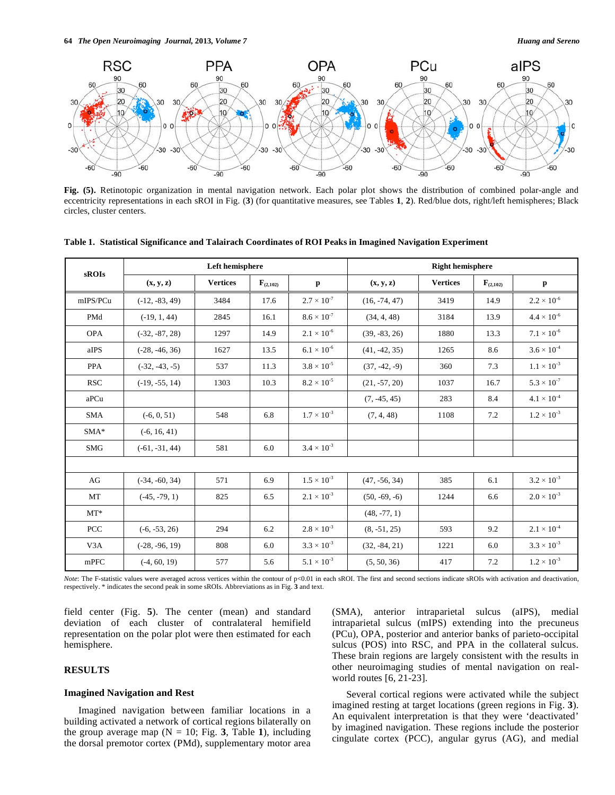

**Fig. (5).** Retinotopic organization in mental navigation network. Each polar plot shows the distribution of combined polar-angle and eccentricity representations in each sROI in Fig. (**3**) (for quantitative measures, see Tables **1**, **2**). Red/blue dots, right/left hemispheres; Black circles, cluster centers.

| sROIs            |                  | Left hemisphere |               |                      | <b>Right hemisphere</b> |                 |               |                           |
|------------------|------------------|-----------------|---------------|----------------------|-------------------------|-----------------|---------------|---------------------------|
|                  | (x, y, z)        | <b>Vertices</b> | $F_{(2,102)}$ | $\mathbf{p}$         | (x, y, z)               | <b>Vertices</b> | $F_{(2,102)}$ | $\mathbf{p}$              |
| mIPS/PCu         | $(-12, -83, 49)$ | 3484            | 17.6          | $2.7 \times 10^{-7}$ | $(16, -74, 47)$         | 3419            | 14.9          | $2.2\times10^{\text{-}6}$ |
| PMd              | $(-19, 1, 44)$   | 2845            | 16.1          | $8.6 \times 10^{-7}$ | (34, 4, 48)             | 3184            |               | $4.4 \times 10^{-6}$      |
| <b>OPA</b>       | $(-32, -87, 28)$ | 1297            | 14.9          | $2.1 \times 10^{-6}$ | $(39, -83, 26)$         | 1880            | 13.3          | $7.1 \times 10^{-6}$      |
| aIPS             | $(-28, -46, 36)$ | 1627            | 13.5          | $6.1 \times 10^{-6}$ | $(41, -42, 35)$         | 1265            |               | $3.6 \times 10^{-4}$      |
| <b>PPA</b>       | $(-32, -43, -5)$ | 537             | 11.3          | $3.8 \times 10^{-5}$ | $(37, -42, -9)$         | 360             |               | $1.1 \times 10^{-3}$      |
| <b>RSC</b>       | $(-19, -55, 14)$ | 1303            | 10.3          | $8.2 \times 10^{-5}$ | $(21, -57, 20)$         | 1037            |               | $5.3 \times 10^{-7}$      |
| aPCu             |                  |                 |               |                      | $(7, -45, 45)$          | 283             | 8.4           | $4.1 \times 10^{-4}$      |
| <b>SMA</b>       | $(-6, 0, 51)$    | 548             | 6.8           | $1.7 \times 10^{-3}$ | (7, 4, 48)              | 1108            | 7.2           | $1.2 \times 10^{-3}$      |
| $SMA*$           | $(-6, 16, 41)$   |                 |               |                      |                         |                 |               |                           |
| <b>SMG</b>       | $(-61, -31, 44)$ | 581             | 6.0           | $3.4 \times 10^{-3}$ |                         |                 |               |                           |
|                  |                  |                 |               |                      |                         |                 |               |                           |
| AG               | $(-34, -60, 34)$ | 571             | 6.9           | $1.5 \times 10^{-3}$ | $(47, -56, 34)$         | 385             | 6.1           | $3.2 \times 10^{-3}$      |
| MT               | $(-45, -79, 1)$  | 825             | 6.5           | $2.1 \times 10^{-3}$ | $(50, -69, -6)$         | 1244            | 6.6           | $2.0 \times 10^{-3}$      |
| $MT^*$           |                  |                 |               |                      | $(48, -77, 1)$          |                 |               |                           |
| <b>PCC</b>       | $(-6, -53, 26)$  | 294             | 6.2           | $2.8 \times 10^{-3}$ | $(8, -51, 25)$          | 593             | 9.2           | $2.1 \times 10^{-4}$      |
| V <sub>3</sub> A | $(-28, -96, 19)$ | 808             | 6.0           | $3.3 \times 10^{-3}$ | $(32, -84, 21)$         | 1221            | 6.0           | $3.3 \times 10^{-3}$      |
| mPFC             | $(-4, 60, 19)$   | 577             | 5.6           | $5.1 \times 10^{-3}$ | (5, 50, 36)             | 417             | 7.2           | $1.2 \times 10^{-3}$      |

**Table 1. Statistical Significance and Talairach Coordinates of ROI Peaks in Imagined Navigation Experiment**

Note: The F-statistic values were averaged across vertices within the contour of p<0.01 in each sROI. The first and second sections indicate sROIs with activation and deactivation, respectively. \* indicates the second peak

field center (Fig. **5**). The center (mean) and standard deviation of each cluster of contralateral hemifield representation on the polar plot were then estimated for each hemisphere.

# **RESULTS**

### **Imagined Navigation and Rest**

Imagined navigation between familiar locations in a building activated a network of cortical regions bilaterally on the group average map  $(N = 10; Fig. 3, Table 1)$ , including the dorsal premotor cortex (PMd), supplementary motor area (SMA), anterior intraparietal sulcus (aIPS), medial intraparietal sulcus (mIPS) extending into the precuneus (PCu), OPA, posterior and anterior banks of parieto-occipital sulcus (POS) into RSC, and PPA in the collateral sulcus. These brain regions are largely consistent with the results in other neuroimaging studies of mental navigation on realworld routes [6, 21-23].

Several cortical regions were activated while the subject imagined resting at target locations (green regions in Fig. **3**). An equivalent interpretation is that they were 'deactivated' by imagined navigation. These regions include the posterior cingulate cortex (PCC), angular gyrus (AG), and medial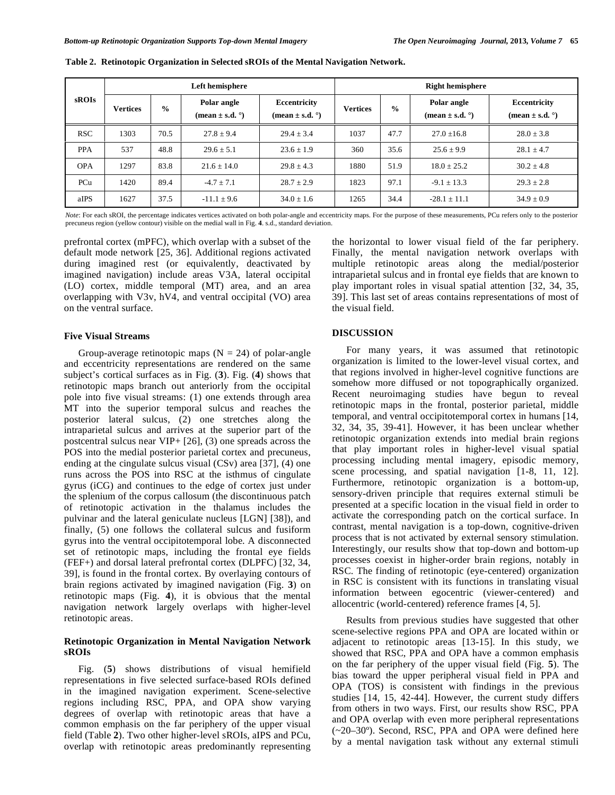| sROIs      |                 | Left hemisphere |                                             | <b>Right hemisphere</b>                      |                 |               |                                             |                                              |
|------------|-----------------|-----------------|---------------------------------------------|----------------------------------------------|-----------------|---------------|---------------------------------------------|----------------------------------------------|
|            | <b>Vertices</b> | $\frac{0}{0}$   | Polar angle<br>(mean $\pm$ s.d. $\degree$ ) | Eccentricity<br>(mean $\pm$ s.d. $\degree$ ) | <b>Vertices</b> | $\frac{0}{0}$ | Polar angle<br>(mean $\pm$ s.d. $\degree$ ) | Eccentricity<br>(mean $\pm$ s.d. $\degree$ ) |
| <b>RSC</b> | 1303            | 70.5            | $27.8 + 9.4$                                | $29.4 + 3.4$                                 | 1037            | 47.7          | $27.0 + 16.8$                               | $28.0 \pm 3.8$                               |
| <b>PPA</b> | 537             | 48.8            | $29.6 + 5.1$                                | $23.6 + 1.9$                                 | 360             | 35.6          | $25.6 \pm 9.9$                              | $28.1 \pm 4.7$                               |
| <b>OPA</b> | 1297            | 83.8            | $21.6 \pm 14.0$                             | $29.8 + 4.3$                                 | 1880            | 51.9          | $18.0 + 25.2$                               | $30.2 \pm 4.8$                               |
| PCu        | 1420            | 89.4            | $-4.7 + 7.1$                                | $28.7 + 2.9$                                 | 1823            | 97.1          | $-9.1 + 13.3$                               | $29.3 + 2.8$                                 |
| aIPS       | 1627            | 37.5            | $-11.1 \pm 9.6$                             | $34.0 \pm 1.6$                               | 1265            | 34.4          | $-28.1 \pm 11.1$                            | $34.9 \pm 0.9$                               |

**Table 2. Retinotopic Organization in Selected sROIs of the Mental Navigation Network.**

*Note*: For each sROI, the percentage indicates vertices activated on both polar-angle and eccentricity maps. For the purpose of these measurements, PCu refers only to the posterior precuneus region (yellow contour) visible on the medial wall in Fig. **4**. s.d., standard deviation.

prefrontal cortex (mPFC), which overlap with a subset of the default mode network [25, 36]. Additional regions activated during imagined rest (or equivalently, deactivated by imagined navigation) include areas V3A, lateral occipital (LO) cortex, middle temporal (MT) area, and an area overlapping with V3v, hV4, and ventral occipital (VO) area on the ventral surface.

## **Five Visual Streams**

Group-average retinotopic maps  $(N = 24)$  of polar-angle and eccentricity representations are rendered on the same subject's cortical surfaces as in Fig. (**3**). Fig. (**4**) shows that retinotopic maps branch out anteriorly from the occipital pole into five visual streams: (1) one extends through area MT into the superior temporal sulcus and reaches the posterior lateral sulcus, (2) one stretches along the intraparietal sulcus and arrives at the superior part of the postcentral sulcus near VIP+ [26], (3) one spreads across the POS into the medial posterior parietal cortex and precuneus, ending at the cingulate sulcus visual (CSv) area [37], (4) one runs across the POS into RSC at the isthmus of cingulate gyrus (iCG) and continues to the edge of cortex just under the splenium of the corpus callosum (the discontinuous patch of retinotopic activation in the thalamus includes the pulvinar and the lateral geniculate nucleus [LGN] [38]), and finally, (5) one follows the collateral sulcus and fusiform gyrus into the ventral occipitotemporal lobe. A disconnected set of retinotopic maps, including the frontal eye fields (FEF+) and dorsal lateral prefrontal cortex (DLPFC) [32, 34, 39], is found in the frontal cortex. By overlaying contours of brain regions activated by imagined navigation (Fig. **3**) on retinotopic maps (Fig. **4**), it is obvious that the mental navigation network largely overlaps with higher-level retinotopic areas.

# **Retinotopic Organization in Mental Navigation Network sROIs**

Fig. (**5**) shows distributions of visual hemifield representations in five selected surface-based ROIs defined in the imagined navigation experiment. Scene-selective regions including RSC, PPA, and OPA show varying degrees of overlap with retinotopic areas that have a common emphasis on the far periphery of the upper visual field (Table **2**). Two other higher-level sROIs, aIPS and PCu, overlap with retinotopic areas predominantly representing

the horizontal to lower visual field of the far periphery. Finally, the mental navigation network overlaps with multiple retinotopic areas along the medial/posterior intraparietal sulcus and in frontal eye fields that are known to play important roles in visual spatial attention [32, 34, 35, 39]. This last set of areas contains representations of most of the visual field.

### **DISCUSSION**

For many years, it was assumed that retinotopic organization is limited to the lower-level visual cortex, and that regions involved in higher-level cognitive functions are somehow more diffused or not topographically organized. Recent neuroimaging studies have begun to reveal retinotopic maps in the frontal, posterior parietal, middle temporal, and ventral occipitotemporal cortex in humans [14, 32, 34, 35, 39-41]. However, it has been unclear whether retinotopic organization extends into medial brain regions that play important roles in higher-level visual spatial processing including mental imagery, episodic memory, scene processing, and spatial navigation [1-8, 11, 12]. Furthermore, retinotopic organization is a bottom-up, sensory-driven principle that requires external stimuli be presented at a specific location in the visual field in order to activate the corresponding patch on the cortical surface. In contrast, mental navigation is a top-down, cognitive-driven process that is not activated by external sensory stimulation. Interestingly, our results show that top-down and bottom-up processes coexist in higher-order brain regions, notably in RSC. The finding of retinotopic (eye-centered) organization in RSC is consistent with its functions in translating visual information between egocentric (viewer-centered) and allocentric (world-centered) reference frames [4, 5].

Results from previous studies have suggested that other scene-selective regions PPA and OPA are located within or adjacent to retinotopic areas [13-15]. In this study, we showed that RSC, PPA and OPA have a common emphasis on the far periphery of the upper visual field (Fig. **5**). The bias toward the upper peripheral visual field in PPA and OPA (TOS) is consistent with findings in the previous studies [14, 15, 42-44]. However, the current study differs from others in two ways. First, our results show RSC, PPA and OPA overlap with even more peripheral representations (~20–30º). Second, RSC, PPA and OPA were defined here by a mental navigation task without any external stimuli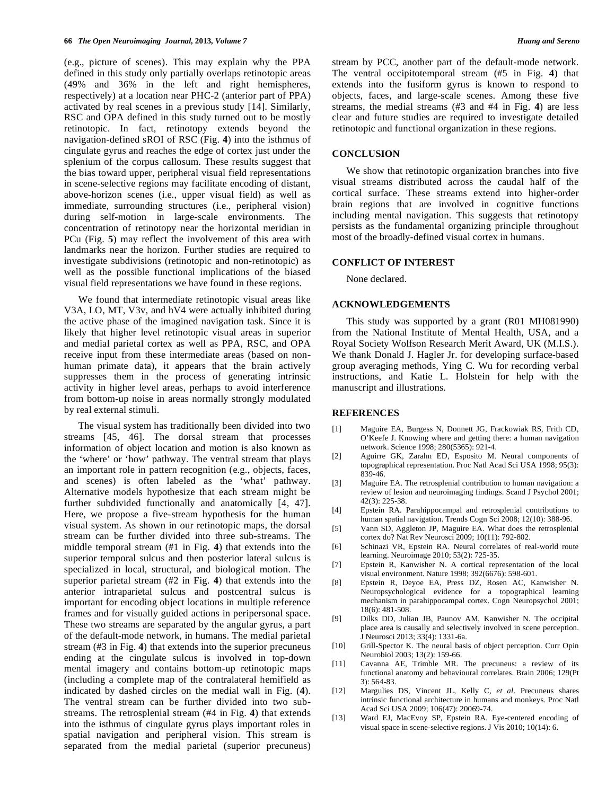(e.g., picture of scenes). This may explain why the PPA defined in this study only partially overlaps retinotopic areas (49% and 36% in the left and right hemispheres, respectively) at a location near PHC-2 (anterior part of PPA) activated by real scenes in a previous study [14]. Similarly, RSC and OPA defined in this study turned out to be mostly retinotopic. In fact, retinotopy extends beyond the navigation-defined sROI of RSC (Fig. **4**) into the isthmus of cingulate gyrus and reaches the edge of cortex just under the splenium of the corpus callosum. These results suggest that the bias toward upper, peripheral visual field representations in scene-selective regions may facilitate encoding of distant, above-horizon scenes (i.e., upper visual field) as well as immediate, surrounding structures (i.e., peripheral vision) during self-motion in large-scale environments. The concentration of retinotopy near the horizontal meridian in PCu (Fig. **5**) may reflect the involvement of this area with landmarks near the horizon. Further studies are required to investigate subdivisions (retinotopic and non-retinotopic) as well as the possible functional implications of the biased visual field representations we have found in these regions.

We found that intermediate retinotopic visual areas like V3A, LO, MT, V3v, and hV4 were actually inhibited during the active phase of the imagined navigation task. Since it is likely that higher level retinotopic visual areas in superior and medial parietal cortex as well as PPA, RSC, and OPA receive input from these intermediate areas (based on nonhuman primate data), it appears that the brain actively suppresses them in the process of generating intrinsic activity in higher level areas, perhaps to avoid interference from bottom-up noise in areas normally strongly modulated by real external stimuli.

The visual system has traditionally been divided into two streams [45, 46]. The dorsal stream that processes information of object location and motion is also known as the 'where' or 'how' pathway. The ventral stream that plays an important role in pattern recognition (e.g., objects, faces, and scenes) is often labeled as the 'what' pathway. Alternative models hypothesize that each stream might be further subdivided functionally and anatomically [4, 47]. Here, we propose a five-stream hypothesis for the human visual system. As shown in our retinotopic maps, the dorsal stream can be further divided into three sub-streams. The middle temporal stream (#1 in Fig. **4**) that extends into the superior temporal sulcus and then posterior lateral sulcus is specialized in local, structural, and biological motion. The superior parietal stream (#2 in Fig. **4**) that extends into the anterior intraparietal sulcus and postcentral sulcus is important for encoding object locations in multiple reference frames and for visually guided actions in peripersonal space. These two streams are separated by the angular gyrus, a part of the default-mode network, in humans. The medial parietal stream (#3 in Fig. **4**) that extends into the superior precuneus ending at the cingulate sulcus is involved in top-down mental imagery and contains bottom-up retinotopic maps (including a complete map of the contralateral hemifield as indicated by dashed circles on the medial wall in Fig. (**4**). The ventral stream can be further divided into two substreams. The retrosplenial stream (#4 in Fig. **4**) that extends into the isthmus of cingulate gyrus plays important roles in spatial navigation and peripheral vision. This stream is separated from the medial parietal (superior precuneus) stream by PCC, another part of the default-mode network. The ventral occipitotemporal stream (#5 in Fig. **4**) that extends into the fusiform gyrus is known to respond to objects, faces, and large-scale scenes. Among these five streams, the medial streams (#3 and #4 in Fig. **4**) are less clear and future studies are required to investigate detailed retinotopic and functional organization in these regions.

# **CONCLUSION**

We show that retinotopic organization branches into five visual streams distributed across the caudal half of the cortical surface. These streams extend into higher-order brain regions that are involved in cognitive functions including mental navigation. This suggests that retinotopy persists as the fundamental organizing principle throughout most of the broadly-defined visual cortex in humans.

## **CONFLICT OF INTEREST**

None declared.

## **ACKNOWLEDGEMENTS**

This study was supported by a grant (R01 MH081990) from the National Institute of Mental Health, USA, and a Royal Society Wolfson Research Merit Award, UK (M.I.S.). We thank Donald J. Hagler Jr. for developing surface-based group averaging methods, Ying C. Wu for recording verbal instructions, and Katie L. Holstein for help with the manuscript and illustrations.

# **REFERENCES**

- [1] Maguire EA, Burgess N, Donnett JG, Frackowiak RS, Frith CD, O'Keefe J. Knowing where and getting there: a human navigation network. Science 1998; 280(5365): 921-4.
- [2] Aguirre GK, Zarahn ED, Esposito M. Neural components of topographical representation. Proc Natl Acad Sci USA 1998; 95(3): 839-46.
- [3] Maguire EA. The retrosplenial contribution to human navigation: a review of lesion and neuroimaging findings. Scand J Psychol 2001;  $42(3) \cdot 225 - 38$
- [4] Epstein RA. Parahippocampal and retrosplenial contributions to human spatial navigation. Trends Cogn Sci 2008; 12(10): 388-96.
- [5] Vann SD, Aggleton JP, Maguire EA. What does the retrosplenial cortex do? Nat Rev Neurosci 2009; 10(11): 792-802.
- [6] Schinazi VR, Epstein RA. Neural correlates of real-world route learning. Neuroimage 2010; 53(2): 725-35.
- [7] Epstein R, Kanwisher N. A cortical representation of the local visual environment. Nature 1998; 392(6676): 598-601.
- [8] Epstein R, Deyoe EA, Press DZ, Rosen AC, Kanwisher N. Neuropsychological evidence for a topographical learning mechanism in parahippocampal cortex. Cogn Neuropsychol 2001; 18(6): 481-508.
- [9] Dilks DD, Julian JB, Paunov AM, Kanwisher N. The occipital place area is causally and selectively involved in scene perception. J Neurosci 2013; 33(4): 1331-6a.
- [10] Grill-Spector K. The neural basis of object perception. Curr Opin Neurobiol 2003; 13(2): 159-66.
- [11] Cavanna AE, Trimble MR. The precuneus: a review of its functional anatomy and behavioural correlates. Brain 2006; 129(Pt 3): 564-83.
- [12] Margulies DS, Vincent JL, Kelly C, *et al*. Precuneus shares intrinsic functional architecture in humans and monkeys. Proc Natl Acad Sci USA 2009; 106(47): 20069-74.
- [13] Ward EJ, MacEvoy SP, Epstein RA. Eye-centered encoding of visual space in scene-selective regions. J Vis 2010; 10(14): 6.